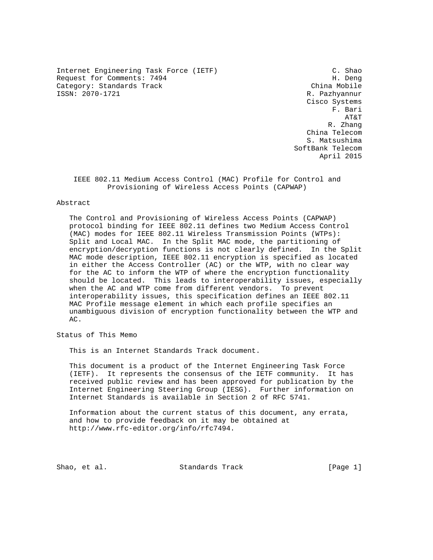Internet Engineering Task Force (IETF) C. Shao Request for Comments: 7494 H. Deng Category: Standards Track China Mobile<br>
SAN: 2070-1721 China Mobile<br>
China Mobile

R. Pazhyannur Cisco Systems F. Bari AT&T R. Zhang China Telecom S. Matsushima SoftBank Telecom April 2015

 IEEE 802.11 Medium Access Control (MAC) Profile for Control and Provisioning of Wireless Access Points (CAPWAP)

#### Abstract

 The Control and Provisioning of Wireless Access Points (CAPWAP) protocol binding for IEEE 802.11 defines two Medium Access Control (MAC) modes for IEEE 802.11 Wireless Transmission Points (WTPs): Split and Local MAC. In the Split MAC mode, the partitioning of encryption/decryption functions is not clearly defined. In the Split MAC mode description, IEEE 802.11 encryption is specified as located in either the Access Controller (AC) or the WTP, with no clear way for the AC to inform the WTP of where the encryption functionality should be located. This leads to interoperability issues, especially when the AC and WTP come from different vendors. To prevent interoperability issues, this specification defines an IEEE 802.11 MAC Profile message element in which each profile specifies an unambiguous division of encryption functionality between the WTP and AC.

Status of This Memo

This is an Internet Standards Track document.

 This document is a product of the Internet Engineering Task Force (IETF). It represents the consensus of the IETF community. It has received public review and has been approved for publication by the Internet Engineering Steering Group (IESG). Further information on Internet Standards is available in Section 2 of RFC 5741.

 Information about the current status of this document, any errata, and how to provide feedback on it may be obtained at http://www.rfc-editor.org/info/rfc7494.

Shao, et al. Standards Track [Page 1]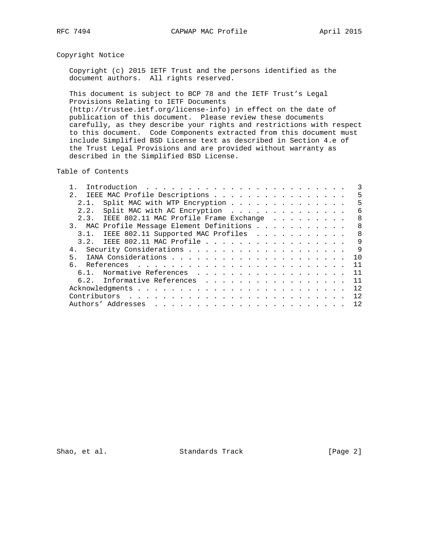# Copyright Notice

 Copyright (c) 2015 IETF Trust and the persons identified as the document authors. All rights reserved.

 This document is subject to BCP 78 and the IETF Trust's Legal Provisions Relating to IETF Documents (http://trustee.ietf.org/license-info) in effect on the date of publication of this document. Please review these documents carefully, as they describe your rights and restrictions with respect to this document. Code Components extracted from this document must include Simplified BSD License text as described in Section 4.e of the Trust Legal Provisions and are provided without warranty as described in the Simplified BSD License.

Table of Contents

|     |      | 2. IEEE MAC Profile Descriptions            |  |  |  |  |  |  |  |  |  |  | 5   |
|-----|------|---------------------------------------------|--|--|--|--|--|--|--|--|--|--|-----|
|     | 2.1. |                                             |  |  |  |  |  |  |  |  |  |  | 5   |
|     |      | 2.2. Split MAC with AC Encryption           |  |  |  |  |  |  |  |  |  |  | 6   |
|     |      | 2.3. IEEE 802.11 MAC Profile Frame Exchange |  |  |  |  |  |  |  |  |  |  | 8   |
|     |      | 3. MAC Profile Message Element Definitions  |  |  |  |  |  |  |  |  |  |  | 8   |
|     |      | 3.1. IEEE 802.11 Supported MAC Profiles     |  |  |  |  |  |  |  |  |  |  | -8  |
|     |      | 3.2. IEEE 802.11 MAC Profile                |  |  |  |  |  |  |  |  |  |  | 9   |
|     |      |                                             |  |  |  |  |  |  |  |  |  |  | 9   |
| 5.  |      |                                             |  |  |  |  |  |  |  |  |  |  | 1 O |
| რ — |      |                                             |  |  |  |  |  |  |  |  |  |  | 11  |
|     |      | 6.1. Normative References                   |  |  |  |  |  |  |  |  |  |  | 11  |
|     |      | 6.2. Informative References                 |  |  |  |  |  |  |  |  |  |  | 11  |
|     |      |                                             |  |  |  |  |  |  |  |  |  |  | 12. |
|     |      |                                             |  |  |  |  |  |  |  |  |  |  | 12  |
|     |      |                                             |  |  |  |  |  |  |  |  |  |  | 12  |

Shao, et al. Standards Track [Page 2]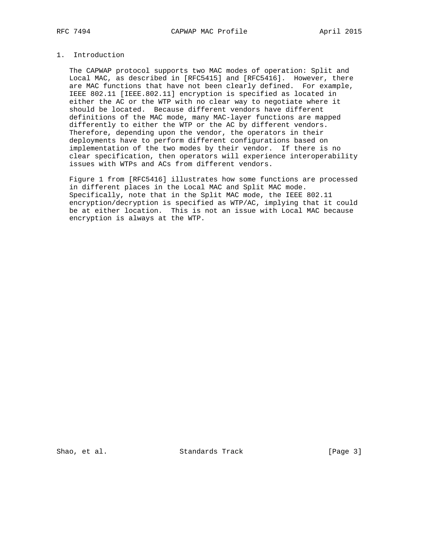# 1. Introduction

 The CAPWAP protocol supports two MAC modes of operation: Split and Local MAC, as described in [RFC5415] and [RFC5416]. However, there are MAC functions that have not been clearly defined. For example, IEEE 802.11 [IEEE.802.11] encryption is specified as located in either the AC or the WTP with no clear way to negotiate where it should be located. Because different vendors have different definitions of the MAC mode, many MAC-layer functions are mapped differently to either the WTP or the AC by different vendors. Therefore, depending upon the vendor, the operators in their deployments have to perform different configurations based on implementation of the two modes by their vendor. If there is no clear specification, then operators will experience interoperability issues with WTPs and ACs from different vendors.

 Figure 1 from [RFC5416] illustrates how some functions are processed in different places in the Local MAC and Split MAC mode. Specifically, note that in the Split MAC mode, the IEEE 802.11 encryption/decryption is specified as WTP/AC, implying that it could be at either location. This is not an issue with Local MAC because encryption is always at the WTP.

Shao, et al. Standards Track [Page 3]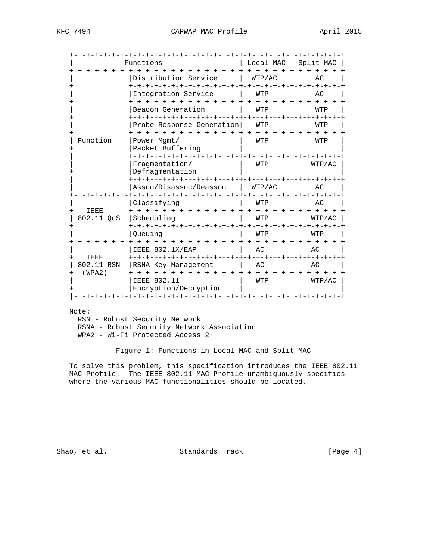|                      | Functions                                              | Local MAC                             | Split MAC          |  |  |
|----------------------|--------------------------------------------------------|---------------------------------------|--------------------|--|--|
|                      | Distribution Service<br>+-+-+-+-+-+-+-+-+-+-+-+-       | WTP/AC<br><b>+-+-+-+-+-+</b>          | AC<br>-+-+-+-+     |  |  |
|                      | Integration Service                                    | WTP<br>-+-+-+-+-+-+-+-+-+-+-+-+-+-+-+ | АC                 |  |  |
|                      | Beacon Generation                                      | WTP                                   | WTP                |  |  |
|                      | Probe Response Generation<br>+-+-+-+-+-+-+-+-+-+-+-+-+ | WTP<br>-+-+-+-+-                      | WTP<br>-+-+-+-+-+  |  |  |
| Function             | Power Mgmt/<br>Packet Buffering                        | WTP                                   | WTP                |  |  |
|                      | Fragmentation/<br>Defragmentation<br>-+-+-+-+-+-+      | WTP<br>$+ - + - + - +$                | WTP/AC             |  |  |
|                      | Assoc/Disassoc/Reassoc                                 | WTP/AC<br>-+-+-+-+-+-+-+-+-+-+-+-+    | AC                 |  |  |
| <b>IEEE</b>          | ーナーナーナーナ<br>Classifying                                | WTP                                   | AC                 |  |  |
| 802.11 QoS           | Scheduling                                             | WTP<br>$- + - + - + - +$              | WTP/AC<br>-+-+-+-+ |  |  |
|                      | Oueuing                                                | WTP                                   | WTP                |  |  |
| <b>IEEE</b>          | IEEE 802.1X/EAP                                        | AC                                    | АC                 |  |  |
| 802.11 RSN<br>(WPA2) | RSNA Key Management<br>+-+-+-+-+-+-+-+-+-+-+-+         | AC<br>-+-+-+-+                        | AC<br>-+-+-+-+-+   |  |  |
|                      | <b>IEEE 802.11</b><br>Encryption/Decryption            | WTP                                   | WTP/AC             |  |  |

Note:

 RSN - Robust Security Network RSNA - Robust Security Network Association WPA2 - Wi-Fi Protected Access 2

Figure 1: Functions in Local MAC and Split MAC

 To solve this problem, this specification introduces the IEEE 802.11 MAC Profile. The IEEE 802.11 MAC Profile unambiguously specifies where the various MAC functionalities should be located.

Shao, et al. Standards Track [Page 4]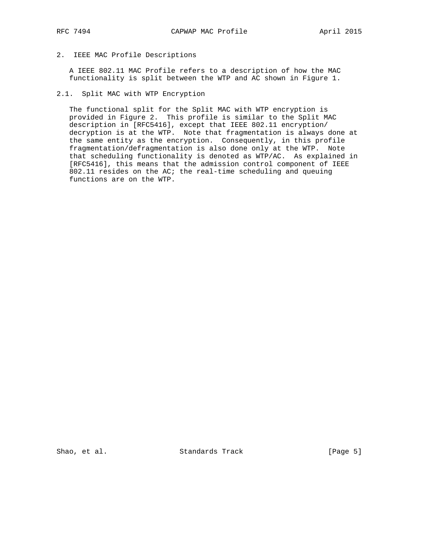# 2. IEEE MAC Profile Descriptions

 A IEEE 802.11 MAC Profile refers to a description of how the MAC functionality is split between the WTP and AC shown in Figure 1.

### 2.1. Split MAC with WTP Encryption

 The functional split for the Split MAC with WTP encryption is provided in Figure 2. This profile is similar to the Split MAC description in [RFC5416], except that IEEE 802.11 encryption/ decryption is at the WTP. Note that fragmentation is always done at the same entity as the encryption. Consequently, in this profile fragmentation/defragmentation is also done only at the WTP. Note that scheduling functionality is denoted as WTP/AC. As explained in [RFC5416], this means that the admission control component of IEEE 802.11 resides on the AC; the real-time scheduling and queuing functions are on the WTP.

Shao, et al. Standards Track [Page 5]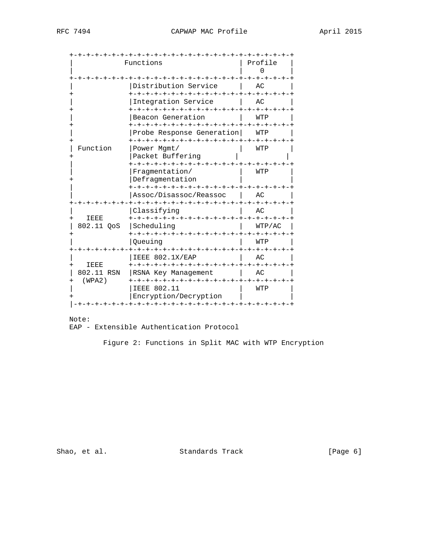| -+-+-+-+-+-+-+-+-+-+     | -+-+-+-+-+-+-+-+-+-+-+-+-+-<br>Functions | Profile<br>∩ |  |  |  |
|--------------------------|------------------------------------------|--------------|--|--|--|
|                          | Distribution Service                     | AC.          |  |  |  |
|                          | Integration Service                      | AC           |  |  |  |
|                          | Beacon Generation                        | WTP          |  |  |  |
|                          | Probe Response Generation                | WTP          |  |  |  |
| Function                 | Power Mgmt/<br>Packet Buffering          | WTP          |  |  |  |
|                          | Fragmentation/<br>Defragmentation        | WTP          |  |  |  |
|                          | Assoc/Disassoc/Reassoc                   | AC           |  |  |  |
| <b>IEEE</b><br>$^{+}$    | Classifyinq                              | AC           |  |  |  |
| 802.11 QoS               | Scheduling                               | WTP/AC       |  |  |  |
|                          | Oueuing                                  | WTP          |  |  |  |
| <b>IEEE</b><br>$\ddot{}$ | IEEE 802.1X/EAP                          | AC           |  |  |  |
| 802.11 RSN<br>(WPA2)     | RSNA Key Management                      | AC           |  |  |  |
|                          | IEEE 802.11<br>Encryption/Decryption     | WTP          |  |  |  |

 Note: EAP - Extensible Authentication Protocol

Figure 2: Functions in Split MAC with WTP Encryption

Shao, et al. Standards Track (Page 6)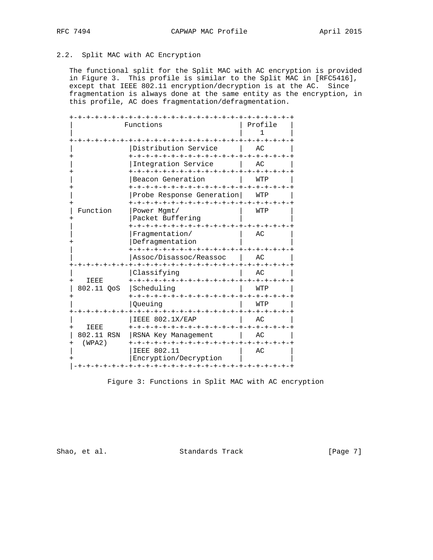# 2.2. Split MAC with AC Encryption

 The functional split for the Split MAC with AC encryption is provided in Figure 3. This profile is similar to the Split MAC in [RFC5416], except that IEEE 802.11 encryption/decryption is at the AC. Since fragmentation is always done at the same entity as the encryption, in this profile, AC does fragmentation/defragmentation.

|                                   | -+-+-+-+-+<br>Functions                     | -+-+-+-+-+-+-+-+-+-+-+-+<br>Profile<br>$\mathbf{1}$ |
|-----------------------------------|---------------------------------------------|-----------------------------------------------------|
|                                   | Distribution Service                        | AC                                                  |
|                                   | Integration Service                         | AC                                                  |
|                                   | Beacon Generation                           | WTP                                                 |
|                                   | Probe Response Generation                   | WTP                                                 |
| Function                          | Power Mgmt/<br>Packet Buffering             | WTP                                                 |
|                                   | Fragmentation/<br>Defragmentation           | AC                                                  |
|                                   | Assoc/Disassoc/Reassoc                      | AC                                                  |
| <b>IEEE</b><br>$\overline{+}$     | Classifying                                 | АC                                                  |
| 802.11 OoS                        | Scheduling                                  | WTP                                                 |
|                                   | Oueuinq                                     | WTP                                                 |
| IEEE                              | IEEE 802.1X/EAP                             | AC                                                  |
| $\ddot{}$<br>802.11 RSN<br>(WPA2) | RSNA Key Management                         | AC                                                  |
|                                   | <b>IEEE 802.11</b><br>Encryption/Decryption | AC                                                  |

Figure 3: Functions in Split MAC with AC encryption

Shao, et al. Standards Track [Page 7]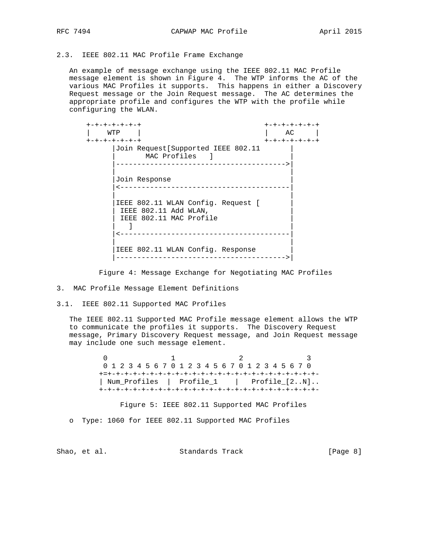### 2.3. IEEE 802.11 MAC Profile Frame Exchange

 An example of message exchange using the IEEE 802.11 MAC Profile message element is shown in Figure 4. The WTP informs the AC of the various MAC Profiles it supports. This happens in either a Discovery Request message or the Join Request message. The AC determines the appropriate profile and configures the WTP with the profile while configuring the WLAN.

 +-+-+-+-+-+-+ +-+-+-+-+-+-+ | WTP | | AC | +-+-+-+-+-+-+ +-+-+-+-+-+-+ |Join Request[Supported IEEE 802.11 | MAC Profiles ] |---------------------------------------->| | | |Join Response | |<----------------------------------------| | | |IEEE 802.11 WLAN Config. Request [ | IEEE 802.11 Add WLAN, IEEE 802.11 MAC Profile | ] | |<----------------------------------------| | | IEEE 802.11 WLAN Config. Response |---------------------------------------->|

Figure 4: Message Exchange for Negotiating MAC Profiles

3. MAC Profile Message Element Definitions

3.1. IEEE 802.11 Supported MAC Profiles

 The IEEE 802.11 Supported MAC Profile message element allows the WTP to communicate the profiles it supports. The Discovery Request message, Primary Discovery Request message, and Join Request message may include one such message element.

 $0$  1 2 3 0 1 2 3 4 5 6 7 0 1 2 3 4 5 6 7 0 1 2 3 4 5 6 7 0 +=+-+-+-+-+-+-+-+-+-+-+-+-+-+-+-+-+-+-+-+-+-+-+-+-+- | Num\_Profiles | Profile\_1 | Profile\_[2..N].. +-+-+-+-+-+-+-+-+-+-+-+-+-+-+-+-+-+-+-+-+-+-+-+-+-+-

Figure 5: IEEE 802.11 Supported MAC Profiles

o Type: 1060 for IEEE 802.11 Supported MAC Profiles

Shao, et al. Standards Track [Page 8]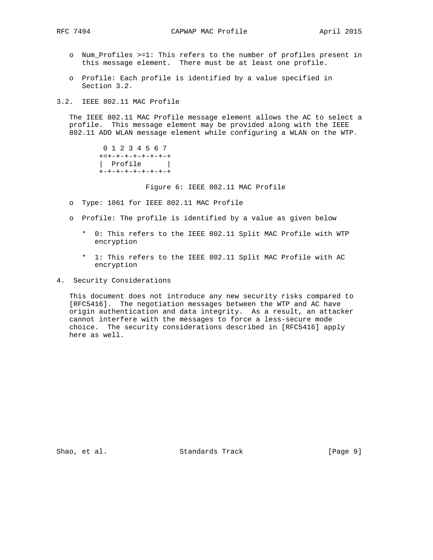- o Num\_Profiles >=1: This refers to the number of profiles present in this message element. There must be at least one profile.
- o Profile: Each profile is identified by a value specified in Section 3.2.
- 3.2. IEEE 802.11 MAC Profile

 The IEEE 802.11 MAC Profile message element allows the AC to select a profile. This message element may be provided along with the IEEE 802.11 ADD WLAN message element while configuring a WLAN on the WTP.

> 0 1 2 3 4 5 6 7 +=+-+-+-+-+-+-+-+ | Profile | +-+-+-+-+-+-+-+-+

> > Figure 6: IEEE 802.11 MAC Profile

- o Type: 1061 for IEEE 802.11 MAC Profile
- o Profile: The profile is identified by a value as given below
	- \* 0: This refers to the IEEE 802.11 Split MAC Profile with WTP encryption
	- \* 1: This refers to the IEEE 802.11 Split MAC Profile with AC encryption
- 4. Security Considerations

 This document does not introduce any new security risks compared to [RFC5416]. The negotiation messages between the WTP and AC have origin authentication and data integrity. As a result, an attacker cannot interfere with the messages to force a less-secure mode choice. The security considerations described in [RFC5416] apply here as well.

Shao, et al. Standards Track [Page 9]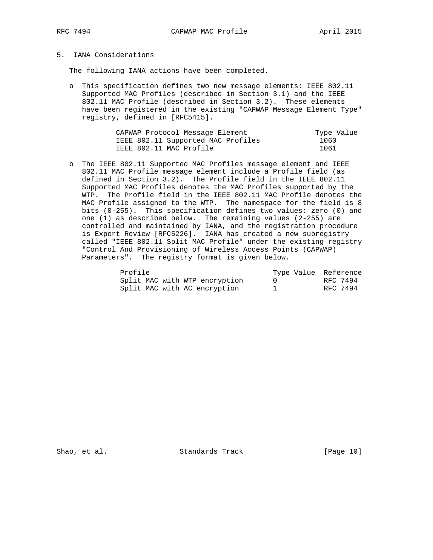# 5. IANA Considerations

The following IANA actions have been completed.

 o This specification defines two new message elements: IEEE 802.11 Supported MAC Profiles (described in Section 3.1) and the IEEE 802.11 MAC Profile (described in Section 3.2). These elements have been registered in the existing "CAPWAP Message Element Type" registry, defined in [RFC5415].

| CAPWAP Protocol Message Element    | Type Value |
|------------------------------------|------------|
| IEEE 802.11 Supported MAC Profiles | 1060       |
| IEEE 802.11 MAC Profile            | 1061       |

 o The IEEE 802.11 Supported MAC Profiles message element and IEEE 802.11 MAC Profile message element include a Profile field (as defined in Section 3.2). The Profile field in the IEEE 802.11 Supported MAC Profiles denotes the MAC Profiles supported by the WTP. The Profile field in the IEEE 802.11 MAC Profile denotes the MAC Profile assigned to the WTP. The namespace for the field is 8 bits (0-255). This specification defines two values: zero (0) and one (1) as described below. The remaining values (2-255) are controlled and maintained by IANA, and the registration procedure is Expert Review [RFC5226]. IANA has created a new subregistry called "IEEE 802.11 Split MAC Profile" under the existing registry "Control And Provisioning of Wireless Access Points (CAPWAP) Parameters". The registry format is given below.

| Profile                       | Type Value Reference |
|-------------------------------|----------------------|
| Split MAC with WTP encryption | RFC 7494             |
| Split MAC with AC encryption  | RFC 7494             |

Shao, et al. Standards Track [Page 10]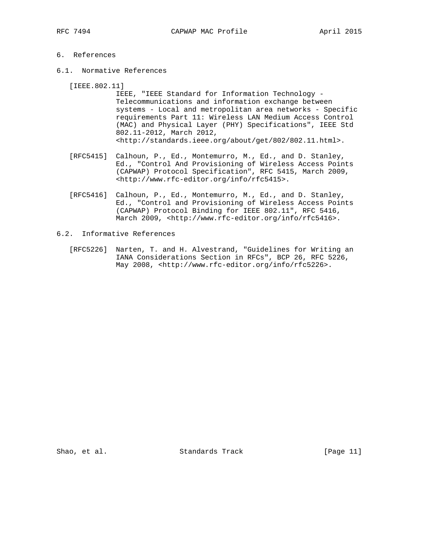# 6. References

6.1. Normative References

[IEEE.802.11]

- IEEE, "IEEE Standard for Information Technology Telecommunications and information exchange between systems - Local and metropolitan area networks - Specific requirements Part 11: Wireless LAN Medium Access Control (MAC) and Physical Layer (PHY) Specifications", IEEE Std 802.11-2012, March 2012, <http://standards.ieee.org/about/get/802/802.11.html>.
- [RFC5415] Calhoun, P., Ed., Montemurro, M., Ed., and D. Stanley, Ed., "Control And Provisioning of Wireless Access Points (CAPWAP) Protocol Specification", RFC 5415, March 2009, <http://www.rfc-editor.org/info/rfc5415>.
- [RFC5416] Calhoun, P., Ed., Montemurro, M., Ed., and D. Stanley, Ed., "Control and Provisioning of Wireless Access Points (CAPWAP) Protocol Binding for IEEE 802.11", RFC 5416, March 2009, <http://www.rfc-editor.org/info/rfc5416>.
- 6.2. Informative References
	- [RFC5226] Narten, T. and H. Alvestrand, "Guidelines for Writing an IANA Considerations Section in RFCs", BCP 26, RFC 5226, May 2008, <http://www.rfc-editor.org/info/rfc5226>.

Shao, et al. Standards Track [Page 11]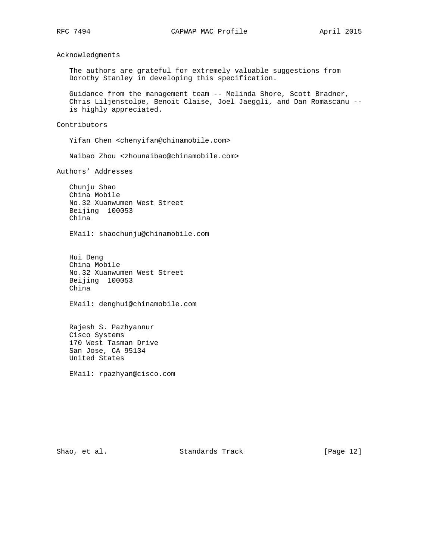Acknowledgments

 The authors are grateful for extremely valuable suggestions from Dorothy Stanley in developing this specification.

 Guidance from the management team -- Melinda Shore, Scott Bradner, Chris Liljenstolpe, Benoit Claise, Joel Jaeggli, and Dan Romascanu - is highly appreciated.

Contributors

Yifan Chen <chenyifan@chinamobile.com>

Naibao Zhou <zhounaibao@chinamobile.com>

Authors' Addresses

 Chunju Shao China Mobile No.32 Xuanwumen West Street Beijing 100053 China

EMail: shaochunju@chinamobile.com

 Hui Deng China Mobile No.32 Xuanwumen West Street Beijing 100053 China

EMail: denghui@chinamobile.com

 Rajesh S. Pazhyannur Cisco Systems 170 West Tasman Drive San Jose, CA 95134 United States

EMail: rpazhyan@cisco.com

Shao, et al. Standards Track [Page 12]